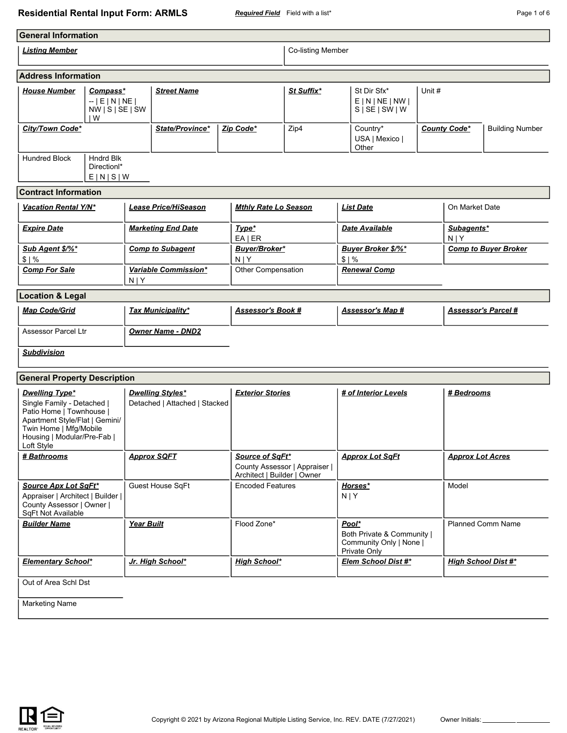## **Residential Rental Input Form: ARMLS** *Required Field* Field with a list\* **Page 1 of 6** Page 1 of 6

| <b>General Information</b>                                                                                                                                                               |                                            |                                                          |                                                |                             |       |                                                                       |                            |                         |                             |
|------------------------------------------------------------------------------------------------------------------------------------------------------------------------------------------|--------------------------------------------|----------------------------------------------------------|------------------------------------------------|-----------------------------|-------|-----------------------------------------------------------------------|----------------------------|-------------------------|-----------------------------|
| <b>Listing Member</b>                                                                                                                                                                    |                                            |                                                          |                                                | Co-listing Member           |       |                                                                       |                            |                         |                             |
| <b>Address Information</b>                                                                                                                                                               |                                            |                                                          |                                                |                             |       |                                                                       |                            |                         |                             |
| <b>House Number</b><br>Compass*<br>$  E N NE $<br>$NW \mid S \mid SE \mid SW$<br>١W                                                                                                      |                                            | <b>Street Name</b>                                       |                                                | St Suffix*                  |       | St Dir Sfx*<br>E N NE NW <br>S   SE   SW   W                          | Unit #                     |                         |                             |
| City/Town Code*                                                                                                                                                                          |                                            | State/Province*                                          | Zip Code*                                      | Zip4                        |       | Country*<br>USA   Mexico  <br>Other                                   |                            | <b>County Code*</b>     | <b>Building Number</b>      |
| <b>Hundred Block</b>                                                                                                                                                                     | <b>Hndrd Blk</b><br>Directionl*<br>E[N S W |                                                          |                                                |                             |       |                                                                       |                            |                         |                             |
| <b>Contract Information</b>                                                                                                                                                              |                                            |                                                          |                                                |                             |       |                                                                       |                            |                         |                             |
| <b>Vacation Rental Y/N*</b>                                                                                                                                                              |                                            | <b>Lease Price/HiSeason</b>                              | <b>Mthly Rate Lo Season</b>                    |                             |       | <b>List Date</b>                                                      |                            | On Market Date          |                             |
| <b>Expire Date</b>                                                                                                                                                                       |                                            | <b>Marketing End Date</b>                                | Type*<br>$EA$   ER                             |                             |       | Date Available                                                        |                            | Subagents*<br>N   Y     |                             |
| Sub Agent \$/%*<br>\$1%                                                                                                                                                                  |                                            | <b>Comp to Subagent</b>                                  | Buyer/Broker*<br>$N$   Y                       |                             | \$1%  | Buyer Broker \$/%*                                                    |                            |                         | <b>Comp to Buyer Broker</b> |
| <b>Comp For Sale</b>                                                                                                                                                                     | $N$   Y                                    | Variable Commission*                                     | Other Compensation                             |                             |       | <b>Renewal Comp</b>                                                   |                            |                         |                             |
| <b>Location &amp; Legal</b>                                                                                                                                                              |                                            |                                                          |                                                |                             |       |                                                                       |                            |                         |                             |
| <b>Map Code/Grid</b>                                                                                                                                                                     |                                            | <b>Tax Municipality*</b>                                 | <b>Assessor's Book #</b>                       |                             |       | <u>Assessor's Map #</u>                                               | <u>Assessor's Parcel #</u> |                         |                             |
| <b>Assessor Parcel Ltr</b>                                                                                                                                                               |                                            | <b>Owner Name - DND2</b>                                 |                                                |                             |       |                                                                       |                            |                         |                             |
| <b>Subdivision</b>                                                                                                                                                                       |                                            |                                                          |                                                |                             |       |                                                                       |                            |                         |                             |
| <b>General Property Description</b>                                                                                                                                                      |                                            |                                                          |                                                |                             |       |                                                                       |                            |                         |                             |
| <b>Dwelling Type*</b><br>Single Family - Detached  <br>Patio Home   Townhouse  <br>Apartment Style/Flat   Gemini/<br>Twin Home   Mfg/Mobile<br>Housing   Modular/Pre-Fab  <br>Loft Style |                                            | <b>Dwelling Styles*</b><br>Detached   Attached   Stacked | <b>Exterior Stories</b>                        |                             |       | # of Interior Levels                                                  |                            | # Bedrooms              |                             |
| # Bathrooms                                                                                                                                                                              |                                            | <b>Approx SQFT</b>                                       | Source of SqFt*<br>Architect   Builder   Owner | County Assessor   Appraiser |       | <b>Approx Lot SqFt</b>                                                |                            | <b>Approx Lot Acres</b> |                             |
| <b>Source Apx Lot SqFt*</b><br>Appraiser   Architect   Builder  <br>County Assessor   Owner  <br>SqFt Not Available                                                                      |                                            | Guest House SqFt                                         | <b>Encoded Features</b>                        |                             | N   Y | Horses*                                                               |                            | Model                   |                             |
| <b>Builder Name</b>                                                                                                                                                                      | <b>Year Built</b>                          |                                                          | Flood Zone*                                    |                             | Pool* | Both Private & Community  <br>Community Only   None  <br>Private Only |                            |                         | Planned Comm Name           |
| <b>Elementary School*</b>                                                                                                                                                                |                                            | Jr. High School*                                         | <b>High School*</b>                            |                             |       | Elem School Dist #*                                                   |                            |                         | <b>High School Dist #*</b>  |

Out of Area Schl Dst

Marketing Name

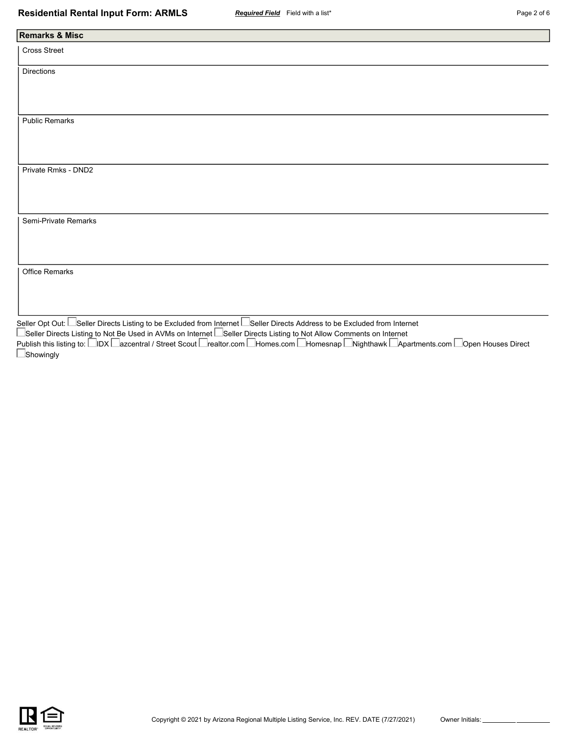| <b>Remarks &amp; Misc</b> |                |  |  |
|---------------------------|----------------|--|--|
| Cross Street              |                |  |  |
|                           |                |  |  |
| Directions                |                |  |  |
|                           |                |  |  |
|                           |                |  |  |
|                           |                |  |  |
| <b>Public Remarks</b>     |                |  |  |
|                           |                |  |  |
|                           |                |  |  |
|                           |                |  |  |
| Private Rmks - DND2       |                |  |  |
|                           |                |  |  |
|                           |                |  |  |
|                           |                |  |  |
|                           |                |  |  |
| Semi-Private Remarks      |                |  |  |
|                           |                |  |  |
|                           |                |  |  |
|                           |                |  |  |
| Office Remarks            |                |  |  |
|                           |                |  |  |
|                           |                |  |  |
|                           |                |  |  |
| $\Box$                    | $\blacksquare$ |  |  |

Seller Opt Out: Seller Directs Listing to be Excluded from Internet Seller Directs Address to be Excluded from Internet Seller Directs Listing to Not Be Used in AVMs on Internet L\_Seller Directs Listing to Not Allow Comments on Internet Publish this listing to: ⊟IDX ⊟azcentral / Street Scout ⊟realtor.com ⊟Homes.com ⊟Homesnap ⊡Nighthawk ⊡Apartments.com ⊟Open Houses Direct **Showingly** 

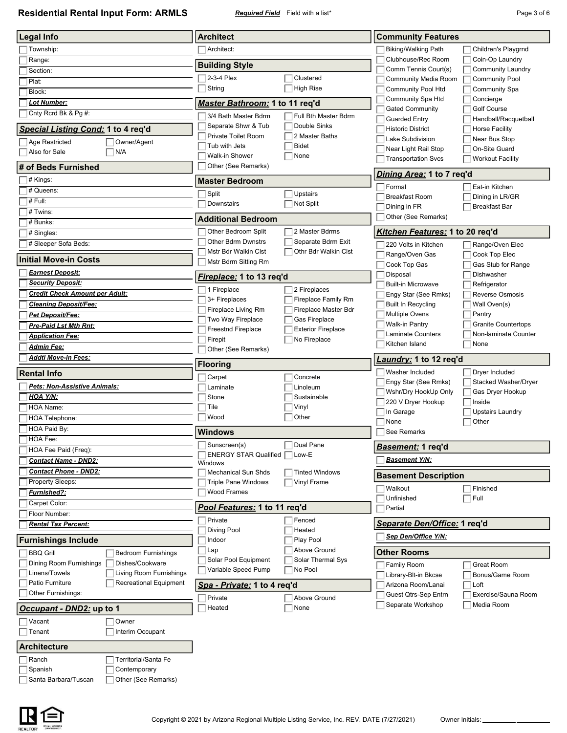**Residential Rental Input Form: ARMLS** *Required Field* Field with a list\* **Page 3 of 6** Page 3 of 6

| <b>Legal Info</b>                                                      | <b>Architect</b>                                  |                                             | <b>Community Features</b>                        |                                               |
|------------------------------------------------------------------------|---------------------------------------------------|---------------------------------------------|--------------------------------------------------|-----------------------------------------------|
| Township:                                                              | Architect:                                        |                                             | <b>Biking/Walking Path</b>                       | Children's Playgrnd                           |
| Range:                                                                 |                                                   |                                             | Clubhouse/Rec Room                               | Coin-Op Laundry                               |
| Section:                                                               | <b>Building Style</b>                             |                                             | Comm Tennis Court(s)                             | <b>Community Laundry</b>                      |
| Plat:                                                                  | 2-3-4 Plex                                        | Clustered                                   | Community Media Room                             | <b>Community Pool</b>                         |
| Block:                                                                 | String                                            | <b>High Rise</b>                            | Community Pool Htd                               | <b>Community Spa</b>                          |
| Lot Number:                                                            | Master Bathroom: 1 to 11 req'd                    |                                             | Community Spa Htd                                | Concierge                                     |
| Cnty Rcrd Bk & Pg #:                                                   | 3/4 Bath Master Bdrm                              | Full Bth Master Bdrm                        | <b>Gated Community</b>                           | Golf Course                                   |
|                                                                        | Separate Shwr & Tub                               | Double Sinks                                | <b>Guarded Entry</b><br><b>Historic District</b> | Handball/Racquetball<br><b>Horse Facility</b> |
| Special Listing Cond: 1 to 4 req'd                                     | Private Toilet Room                               | 2 Master Baths                              | Lake Subdivision                                 | Near Bus Stop                                 |
| Owner/Agent<br>Age Restricted                                          | Tub with Jets                                     | <b>Bidet</b>                                | Near Light Rail Stop                             | On-Site Guard                                 |
| N/A<br>Also for Sale                                                   | Walk-in Shower                                    | None                                        | <b>Transportation Svcs</b>                       | <b>Workout Facility</b>                       |
| # of Beds Furnished                                                    | Other (See Remarks)                               |                                             | <u>Dining Area:</u> 1 to 7 req'd                 |                                               |
| # Kings:                                                               | <b>Master Bedroom</b>                             |                                             | Formal                                           | Eat-in Kitchen                                |
| # Queens:                                                              | Split                                             | Upstairs                                    | <b>Breakfast Room</b>                            | Dining in LR/GR                               |
| # Full:                                                                | Downstairs                                        | Not Split                                   | Dining in FR                                     | <b>Breakfast Bar</b>                          |
| # Twins:                                                               | <b>Additional Bedroom</b>                         |                                             | Other (See Remarks)                              |                                               |
| # Bunks:                                                               |                                                   |                                             |                                                  |                                               |
| # Singles:                                                             | Other Bedroom Split                               | 2 Master Bdrms                              | Kitchen Features: 1 to 20 req'd                  |                                               |
| # Sleeper Sofa Beds:                                                   | <b>Other Bdrm Dwnstrs</b><br>Mstr Bdr Walkin Clst | Separate Bdrm Exit<br>Othr Bdr Walkin Clst  | 220 Volts in Kitchen                             | Range/Oven Elec                               |
| <b>Initial Move-in Costs</b>                                           | Mstr Bdrm Sitting Rm                              |                                             | Range/Oven Gas                                   | Cook Top Elec                                 |
| <u> Earnest Deposit:</u>                                               |                                                   |                                             | Cook Top Gas<br>Disposal                         | Gas Stub for Range<br>Dishwasher              |
| <b>Security Deposit:</b>                                               | Fireplace: 1 to 13 req'd                          |                                             | <b>Built-in Microwave</b>                        | Refrigerator                                  |
| <b>Credit Check Amount per Adult:</b>                                  | 1 Fireplace                                       | 2 Fireplaces                                | Engy Star (See Rmks)                             | <b>Reverse Osmosis</b>                        |
| <b>Cleaning Deposit/Fee:</b>                                           | 3+ Fireplaces                                     | Fireplace Family Rm<br>Fireplace Master Bdr | <b>Built In Recycling</b>                        | Wall Oven(s)                                  |
| <u> Pet Deposit/Fee:</u>                                               | Fireplace Living Rm<br>Two Way Fireplace          | Gas Fireplace                               | <b>Multiple Ovens</b>                            | Pantry                                        |
| <u>Pre-Paid Lst Mth Rnt:</u>                                           | <b>Freestnd Fireplace</b>                         | <b>Exterior Fireplace</b>                   | Walk-in Pantry                                   | <b>Granite Countertops</b>                    |
| <b>Application Fee:</b>                                                | Firepit                                           | No Fireplace                                | <b>Laminate Counters</b>                         | Non-laminate Counter                          |
| <u> Admin Fee:</u>                                                     | Other (See Remarks)                               |                                             | Kitchen Island                                   | None                                          |
| <b>Addtl Move-in Fees:</b>                                             | <b>Flooring</b>                                   |                                             | Laundry: 1 to 12 req'd                           |                                               |
| <b>Rental Info</b>                                                     | Carpet                                            | Concrete                                    | Washer Included                                  | Dryer Included                                |
| Pets: Non-Assistive Animals:                                           | Laminate                                          | Linoleum                                    | Engy Star (See Rmks)                             | Stacked Washer/Dryer                          |
| HOA Y/N:                                                               | Stone                                             | Sustainable                                 | Wshr/Dry HookUp Only                             | Gas Dryer Hookup                              |
| HOA Name:                                                              | Tile                                              | Vinyl                                       | 220 V Dryer Hookup                               | Inside                                        |
| HOA Telephone:                                                         | Wood                                              | Other                                       | In Garage                                        | <b>Upstairs Laundry</b>                       |
|                                                                        |                                                   |                                             | None                                             | Other                                         |
| HOA Paid By:                                                           |                                                   |                                             |                                                  |                                               |
| HOA Fee:                                                               | <b>Windows</b>                                    |                                             | See Remarks                                      |                                               |
| HOA Fee Paid (Freq):                                                   | $\Box$ Sunscreen(s)                               | Dual Pane<br>Low-E                          | <u>Basement:</u> 1 req'd                         |                                               |
| <b>Contact Name - DND2:</b>                                            | <b>ENERGY STAR Qualified</b>  <br>Windows         |                                             | <b>Basement Y/N:</b>                             |                                               |
| <b>Contact Phone - DND2:</b>                                           | Mechanical Sun Shds                               | <b>Tinted Windows</b>                       | <b>Basement Description</b>                      |                                               |
| <b>Property Sleeps:</b>                                                | <b>Triple Pane Windows</b>                        | Vinyl Frame                                 | Walkout                                          | Finished                                      |
| <u>Furnished?:</u>                                                     | <b>Wood Frames</b>                                |                                             | Unfinished                                       | $\sqcap$ Full                                 |
| Carpet Color:                                                          | Pool Features: 1 to 11 req'd                      |                                             | Partial                                          |                                               |
| Floor Number:                                                          | Private                                           | Fenced                                      |                                                  |                                               |
| <b>Rental Tax Percent:</b>                                             | Diving Pool                                       | Heated                                      | Separate Den/Office: 1 req'd                     |                                               |
| <b>Furnishings Include</b>                                             | Indoor                                            | Play Pool                                   | Sep Den/Office Y/N:                              |                                               |
| <b>BBQ Grill</b><br><b>Bedroom Furnishings</b>                         | Lap                                               | Above Ground                                | <b>Other Rooms</b>                               |                                               |
| Dining Room Furnishings<br>Dishes/Cookware                             | Solar Pool Equipment                              | Solar Thermal Sys                           | Family Room                                      | Great Room                                    |
| Living Room Furnishings<br>Linens/Towels                               | Variable Speed Pump                               | No Pool                                     | Library-Blt-in Bkcse                             | Bonus/Game Room                               |
| Patio Furniture<br>Recreational Equipment                              | Spa - Private: 1 to 4 req'd                       |                                             | Arizona Room/Lanai                               | Loft                                          |
| Other Furnishings:                                                     | Private                                           | Above Ground                                | Guest Qtrs-Sep Entrn                             | Exercise/Sauna Room                           |
| <u> <i>Occupant - DND2:</i></u> up to 1                                | Heated                                            | None                                        | Separate Workshop                                | Media Room                                    |
| Vacant<br>Owner                                                        |                                                   |                                             |                                                  |                                               |
| Interim Occupant<br>Tenant                                             |                                                   |                                             |                                                  |                                               |
| <b>Architecture</b>                                                    |                                                   |                                             |                                                  |                                               |
| Territorial/Santa Fe<br>Ranch                                          |                                                   |                                             |                                                  |                                               |
| Spanish<br>Contemporary<br>Other (See Remarks)<br>Santa Barbara/Tuscan |                                                   |                                             |                                                  |                                               |

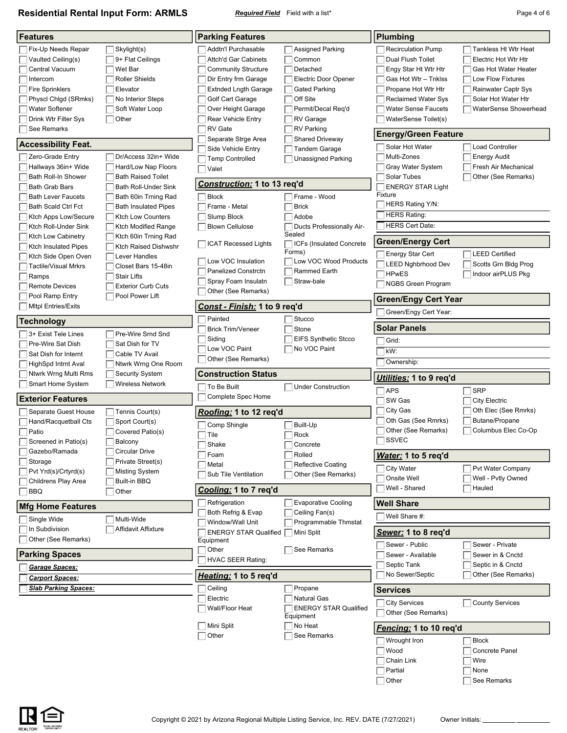**Residential Rental Input Form: ARMLS** *Required Field* Field with a list\* **Page 4 of 6** Page 4 of 6

| <b>Features</b>                                        |                                 | <b>Parking Features</b>                         |                                              | <b>Plumbing</b>                                          |                                                     |
|--------------------------------------------------------|---------------------------------|-------------------------------------------------|----------------------------------------------|----------------------------------------------------------|-----------------------------------------------------|
|                                                        |                                 |                                                 |                                              |                                                          |                                                     |
| Fix-Up Needs Repair<br>Vaulted Ceiling(s)              | Skylight(s)<br>9+ Flat Ceilings | Addtn'l Purchasable<br>Attch'd Gar Cabinets     | <b>Assigned Parking</b><br>Common            | <b>Recirculation Pump</b><br>Dual Flush Toilet           | <b>Tankless Ht Wtr Heat</b><br>Electric Hot Wtr Htr |
| Central Vacuum                                         | Wet Bar                         | <b>Community Structure</b>                      | Detached                                     | Engy Star Ht Wtr Htr                                     | Gas Hot Water Heater                                |
| Intercom                                               | Roller Shields                  | Dir Entry frm Garage                            | Electric Door Opener                         | Gas Hot Wtr - Tnklss                                     | Low Flow Fixtures                                   |
| <b>Fire Sprinklers</b>                                 | Elevator                        |                                                 | <b>Gated Parking</b>                         | Propane Hot Wtr Htr                                      | Rainwater Captr Sys                                 |
| Physcl Chigd (SRmks)                                   | No Interior Steps               | <b>Extnded Lngth Garage</b>                     | Off Site                                     |                                                          | Solar Hot Water Htr                                 |
| <b>Water Softener</b>                                  | Soft Water Loop                 | Golf Cart Garage                                | Permit/Decal Req'd                           | <b>Reclaimed Water Sys</b><br><b>Water Sense Faucets</b> | WaterSense Showerhead                               |
| Drink Wtr Filter Sys                                   | Other                           | Over Height Garage<br><b>Rear Vehicle Entry</b> | RV Garage                                    | WaterSense Toilet(s)                                     |                                                     |
| See Remarks                                            |                                 | <b>RV</b> Gate                                  | <b>RV Parking</b>                            |                                                          |                                                     |
|                                                        |                                 | Separate Strge Area                             | <b>Shared Driveway</b>                       | <b>Energy/Green Feature</b>                              |                                                     |
| <b>Accessibility Feat.</b>                             |                                 | Side Vehicle Entry                              | <b>Tandem Garage</b>                         | Solar Hot Water                                          | <b>Load Controller</b>                              |
| Zero-Grade Entry                                       | Dr/Access 32in+ Wide            | <b>Temp Controlled</b>                          | Unassigned Parking                           | Multi-Zones                                              | <b>Energy Audit</b>                                 |
| Hallways 36in+ Wide                                    | Hard/Low Nap Floors             | Valet                                           |                                              | Gray Water System                                        | Fresh Air Mechanical                                |
| Bath Roll-In Shower                                    | <b>Bath Raised Toilet</b>       | <b>Construction: 1 to 13 req'd</b>              |                                              | Solar Tubes                                              | Other (See Remarks)                                 |
| Bath Grab Bars                                         | <b>Bath Roll-Under Sink</b>     |                                                 |                                              | <b>ENERGY STAR Light</b>                                 |                                                     |
| <b>Bath Lever Faucets</b>                              | Bath 60in Trning Rad            | <b>Block</b>                                    | Frame - Wood                                 | Fixture                                                  |                                                     |
| Bath Scald Ctrl Fct                                    | <b>Bath Insulated Pipes</b>     | Frame - Metal                                   | <b>Brick</b>                                 | HERS Rating Y/N:                                         |                                                     |
| Ktch Apps Low/Secure                                   | <b>Ktch Low Counters</b>        | Slump Block                                     | Adobe                                        | <b>HERS Rating:</b>                                      |                                                     |
| Ktch Roll-Under Sink                                   | <b>Ktch Modified Range</b>      | <b>Blown Cellulose</b>                          | Ducts Professionally Air-                    | <b>HERS Cert Date:</b>                                   |                                                     |
| Ktch Low Cabinetry                                     | Ktch 60in Trning Rad            |                                                 | Sealed                                       | <b>Green/Energy Cert</b>                                 |                                                     |
| Ktch Insulated Pipes                                   | <b>Ktch Raised Dishwshr</b>     | <b>ICAT Recessed Lights</b>                     | ICFs (Insulated Concrete<br>Forms)           |                                                          |                                                     |
| Ktch Side Open Oven                                    | Lever Handles                   | Low VOC Insulation                              | Low VOC Wood Products                        | Energy Star Cert                                         | <b>LEED Certified</b>                               |
| Tactile/Visual Mrkrs                                   | Closet Bars 15-48in             | <b>Panelized Constrctn</b>                      | Rammed Earth                                 | <b>LEED Nghbrhood Dev</b>                                | Scotts Grn Bldg Prog                                |
| Ramps                                                  | <b>Stair Lifts</b>              | Spray Foam Insulatn                             | Straw-bale                                   | <b>HPwES</b>                                             | Indoor airPLUS Pkg                                  |
| <b>Remote Devices</b>                                  | <b>Exterior Curb Cuts</b>       | Other (See Remarks)                             |                                              | NGBS Green Program                                       |                                                     |
| Pool Ramp Entry                                        | Pool Power Lift                 |                                                 |                                              | <b>Green/Engy Cert Year</b>                              |                                                     |
| <b>MItpl Entries/Exits</b>                             |                                 | Const - Finish: 1 to 9 reg'd                    |                                              | Green/Engy Cert Year:                                    |                                                     |
| <b>Technology</b>                                      |                                 | Painted                                         | Stucco                                       | <b>Solar Panels</b>                                      |                                                     |
| 3+ Exist Tele Lines                                    | Pre-Wire Srnd Snd               | <b>Brick Trim/Veneer</b>                        | Stone                                        |                                                          |                                                     |
| Pre-Wire Sat Dish                                      | Sat Dish for TV                 | Siding                                          | <b>EIFS Synthetic Stcco</b>                  | Grid:                                                    |                                                     |
| Sat Dish for Internt                                   | Cable TV Avail                  | Low VOC Paint                                   | No VOC Paint                                 | kW:                                                      |                                                     |
| HighSpd Intrnt Aval                                    | Ntwrk Wrng One Room             | Other (See Remarks)                             |                                              | Ownership:                                               |                                                     |
| Ntwrk Wrng Multi Rms                                   | <b>Security System</b>          | <b>Construction Status</b>                      |                                              | Utilities: 1 to 9 req'd                                  |                                                     |
| Smart Home System                                      |                                 |                                                 |                                              |                                                          |                                                     |
|                                                        | Wireless Network                |                                                 |                                              |                                                          |                                                     |
|                                                        |                                 | To Be Built<br>Complete Spec Home               | <b>Under Construction</b>                    | <b>APS</b>                                               | <b>SRP</b>                                          |
| <b>Exterior Features</b>                               |                                 |                                                 |                                              | SW Gas                                                   | <b>City Electric</b>                                |
| Separate Guest House                                   | Tennis Court(s)                 | Roofing: 1 to 12 reg'd                          |                                              | City Gas                                                 | Oth Elec (See Rmrks)                                |
| Hand/Racquetball Cts                                   | Sport Court(s)                  | Comp Shingle                                    | Built-Up                                     | Oth Gas (See Rmrks)                                      | Butane/Propane                                      |
| Patio                                                  | Covered Patio(s)                | Tile                                            | Rock                                         | Other (See Remarks)                                      | Columbus Elec Co-Op                                 |
| Screened in Patio(s)                                   | Balcony                         | Shake                                           | Concrete                                     | <b>SSVEC</b>                                             |                                                     |
| Gazebo/Ramada                                          | <b>Circular Drive</b>           | Foam                                            | Rolled                                       | Water: 1 to 5 req'd                                      |                                                     |
| Storage                                                | Private Street(s)               | Metal                                           | <b>Reflective Coating</b>                    | <b>City Water</b>                                        | Pvt Water Company                                   |
| Pvt Yrd(s)/Crtyrd(s)                                   | <b>Misting System</b>           | Sub Tile Ventilation                            | Other (See Remarks)                          | Onsite Well                                              | Well - Pvtly Owned                                  |
| Childrens Play Area                                    | Built-in BBQ                    |                                                 |                                              | Well - Shared                                            | Hauled                                              |
| <b>BBQ</b>                                             | Other                           | Cooling: 1 to 7 req'd                           |                                              |                                                          |                                                     |
| <b>Mfg Home Features</b>                               |                                 | Refrigeration<br>Both Refrig & Evap             | <b>Evaporative Cooling</b><br>Ceiling Fan(s) | <b>Well Share</b>                                        |                                                     |
| Single Wide                                            | Multi-Wide                      | Window/Wall Unit                                | Programmable Thmstat                         | Well Share #:                                            |                                                     |
| In Subdivision                                         | Affidavit Affixture             | <b>ENERGY STAR Qualified</b>                    | Mini Split                                   | Sewer: 1 to 8 req'd                                      |                                                     |
| Other (See Remarks)                                    |                                 | Equipment<br>Other                              | See Remarks                                  | Sewer - Public                                           | Sewer - Private                                     |
| <b>Parking Spaces</b>                                  |                                 | <b>HVAC SEER Rating:</b>                        |                                              | Sewer - Available<br>Septic Tank                         | Sewer in & Cnctd<br>Septic in & Cnctd               |
| Garage Spaces:                                         |                                 | Heating: 1 to 5 req'd                           |                                              | No Sewer/Septic                                          | Other (See Remarks)                                 |
| <u> Carport Spaces:</u><br><b>Slab Parking Spaces:</b> |                                 | Ceiling                                         | Propane                                      | <b>Services</b>                                          |                                                     |
|                                                        |                                 | Electric                                        | <b>Natural Gas</b>                           |                                                          |                                                     |
|                                                        |                                 | Wall/Floor Heat                                 | <b>ENERGY STAR Qualified</b>                 | <b>City Services</b><br>Other (See Remarks)              | <b>County Services</b>                              |
|                                                        |                                 | Mini Split                                      | Equipment<br>No Heat                         |                                                          |                                                     |
|                                                        |                                 | Other                                           | See Remarks                                  | <u>Fencing:</u> 1 to 10 req'd                            |                                                     |
|                                                        |                                 |                                                 |                                              | Wrought Iron                                             | <b>Block</b>                                        |
|                                                        |                                 |                                                 |                                              | Wood                                                     | Concrete Panel                                      |
|                                                        |                                 |                                                 |                                              | Chain Link                                               | Wire                                                |
|                                                        |                                 |                                                 |                                              | Partial<br>Other                                         | None<br>See Remarks                                 |

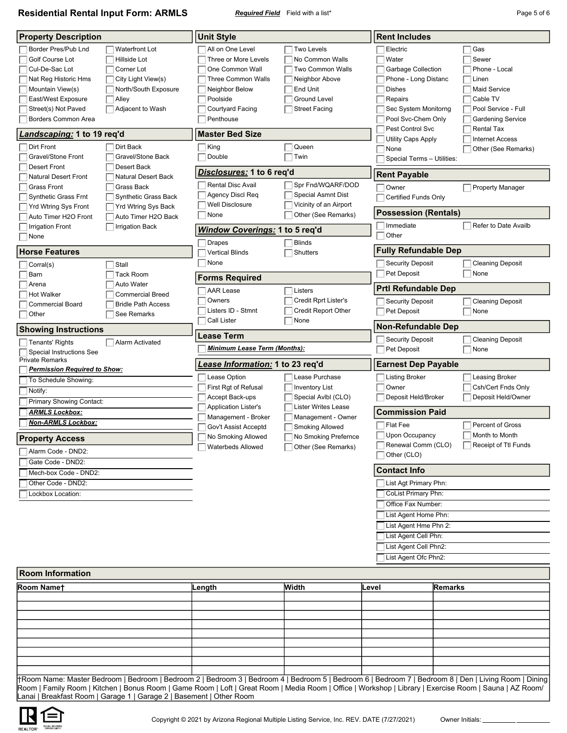**Residential Rental Input Form: ARMLS** *Required Field* Field with a list\* **Page 5 of 6** Page 5 of 6

| <b>Property Description</b>                                                                                                                                                                            |                                                                                                                                | <b>Unit Style</b>                                                                                                                                                                 |                                                                                                                                              | <b>Rent Includes</b>                                                                                                                                                 |                                                                                                                                                   |  |
|--------------------------------------------------------------------------------------------------------------------------------------------------------------------------------------------------------|--------------------------------------------------------------------------------------------------------------------------------|-----------------------------------------------------------------------------------------------------------------------------------------------------------------------------------|----------------------------------------------------------------------------------------------------------------------------------------------|----------------------------------------------------------------------------------------------------------------------------------------------------------------------|---------------------------------------------------------------------------------------------------------------------------------------------------|--|
| Border Pres/Pub Lnd<br>Golf Course Lot<br>Cul-De-Sac Lot<br>Nat Reg Historic Hms<br>Mountain View(s)<br>East/West Exposure<br>Street(s) Not Paved<br>Borders Common Area<br>Landscaping: 1 to 19 req'd | <b>Waterfront Lot</b><br>Hillside Lot<br>Corner Lot<br>City Light View(s)<br>North/South Exposure<br>Alley<br>Adjacent to Wash | All on One Level<br>Three or More Levels<br>One Common Wall<br>Three Common Walls<br>Neighbor Below<br>Poolside<br><b>Courtyard Facing</b><br>Penthouse<br><b>Master Bed Size</b> | <b>Two Levels</b><br>No Common Walls<br><b>Two Common Walls</b><br>Neighbor Above<br>End Unit<br><b>Ground Level</b><br><b>Street Facing</b> | Electric<br>Water<br><b>Garbage Collection</b><br>Phone - Long Distanc<br><b>Dishes</b><br>Repairs<br>Sec System Monitorng<br>Pool Svc-Chem Only<br>Pest Control Svc | Gas<br>Sewer<br>Phone - Local<br>Linen<br><b>Maid Service</b><br>Cable TV<br>Pool Service - Full<br><b>Gardening Service</b><br><b>Rental Tax</b> |  |
| Dirt Front                                                                                                                                                                                             | Dirt Back                                                                                                                      | $\exists$ King                                                                                                                                                                    | Queen                                                                                                                                        | Utility Caps Apply                                                                                                                                                   | <b>Internet Access</b>                                                                                                                            |  |
| Gravel/Stone Front<br><b>Desert Front</b>                                                                                                                                                              | Gravel/Stone Back<br>Desert Back                                                                                               | Double                                                                                                                                                                            | Twin                                                                                                                                         | None<br>Special Terms - Utilities:                                                                                                                                   | Other (See Remarks)                                                                                                                               |  |
| <b>Natural Desert Front</b>                                                                                                                                                                            | <b>Natural Desert Back</b>                                                                                                     | Disclosures: 1 to 6 req'd                                                                                                                                                         |                                                                                                                                              | <b>Rent Payable</b>                                                                                                                                                  |                                                                                                                                                   |  |
| <b>Grass Front</b><br><b>Synthetic Grass Frnt</b><br>Yrd Wtring Sys Front                                                                                                                              | Grass Back<br><b>Synthetic Grass Back</b><br><b>Yrd Wtring Sys Back</b>                                                        | <b>Rental Disc Avail</b><br>Agency Discl Req<br><b>Well Disclosure</b>                                                                                                            | Spr Fnd/WQARF/DOD<br>Special Asmnt Dist<br>Vicinity of an Airport                                                                            | Owner<br>Certified Funds Only                                                                                                                                        | Property Manager                                                                                                                                  |  |
| Auto Timer H2O Front                                                                                                                                                                                   | Auto Timer H2O Back                                                                                                            | None                                                                                                                                                                              | Other (See Remarks)                                                                                                                          | <b>Possession (Rentals)</b>                                                                                                                                          |                                                                                                                                                   |  |
| <b>Irrigation Front</b><br>None                                                                                                                                                                        | <b>Irrigation Back</b>                                                                                                         | <b>Window Coverings: 1 to 5 reg'd</b><br><b>Drapes</b>                                                                                                                            | <b>Blinds</b>                                                                                                                                | Immediate<br>Other                                                                                                                                                   | Refer to Date Availb                                                                                                                              |  |
| <b>Horse Features</b>                                                                                                                                                                                  |                                                                                                                                | <b>Vertical Blinds</b>                                                                                                                                                            | <b>Shutters</b>                                                                                                                              | <b>Fully Refundable Dep</b>                                                                                                                                          |                                                                                                                                                   |  |
| Corral(s)<br>Barn                                                                                                                                                                                      | Stall<br><b>Tack Room</b>                                                                                                      | None<br><b>Forms Required</b>                                                                                                                                                     |                                                                                                                                              | <b>Security Deposit</b><br>Pet Deposit                                                                                                                               | <b>Cleaning Deposit</b><br>None                                                                                                                   |  |
| Arena<br><b>Hot Walker</b>                                                                                                                                                                             | <b>Auto Water</b><br><b>Commercial Breed</b>                                                                                   | <b>AAR Lease</b>                                                                                                                                                                  | Listers                                                                                                                                      | <b>Prtl Refundable Dep</b>                                                                                                                                           |                                                                                                                                                   |  |
| <b>Commercial Board</b><br>Other                                                                                                                                                                       | <b>Bridle Path Access</b><br>See Remarks                                                                                       | Owners<br>Listers ID - Stmnt<br>Call Lister                                                                                                                                       | Credit Rprt Lister's<br><b>Credit Report Other</b><br>None                                                                                   | <b>Security Deposit</b><br>Pet Deposit                                                                                                                               | <b>Cleaning Deposit</b><br>None                                                                                                                   |  |
| <b>Showing Instructions</b>                                                                                                                                                                            |                                                                                                                                |                                                                                                                                                                                   |                                                                                                                                              | <b>Non-Refundable Dep</b>                                                                                                                                            |                                                                                                                                                   |  |
| Tenants' Rights<br>Special Instructions See                                                                                                                                                            | <b>Alarm Activated</b>                                                                                                         | Lease Term<br><b>Minimum Lease Term (Months):</b>                                                                                                                                 |                                                                                                                                              | <b>Security Deposit</b><br>Pet Deposit                                                                                                                               | <b>Cleaning Deposit</b><br>None                                                                                                                   |  |
| <b>Private Remarks</b><br><b>Permission Required to Show:</b>                                                                                                                                          |                                                                                                                                | <u>Lease Information:</u> 1 to 23 req'd                                                                                                                                           |                                                                                                                                              | <b>Earnest Dep Payable</b>                                                                                                                                           |                                                                                                                                                   |  |
| To Schedule Showing:<br>Notify:<br>Primary Showing Contact:                                                                                                                                            |                                                                                                                                | Lease Option<br>First Rgt of Refusal<br>Accept Back-ups<br>Application Lister's                                                                                                   | Lease Purchase<br><b>Inventory List</b><br>Special Avibl (CLO)<br>Lister Writes Lease                                                        | <b>Listing Broker</b><br>Owner<br>Deposit Held/Broker                                                                                                                | Leasing Broker<br>Csh/Cert Fnds Only<br>Deposit Held/Owner                                                                                        |  |
| <b>ARMLS Lockbox:</b>                                                                                                                                                                                  |                                                                                                                                | Management - Broker                                                                                                                                                               | Management - Owner                                                                                                                           | Commission Paid                                                                                                                                                      |                                                                                                                                                   |  |
| <b>Non-ARMLS Lockbox:</b><br><b>Property Access</b><br>Alarm Code - DND2:<br>Gate Code - DND2:                                                                                                         |                                                                                                                                | Gov't Assist Acceptd<br>No Smoking Allowed<br><b>Waterbeds Allowed</b>                                                                                                            | Smoking Allowed<br>No Smoking Prefernce<br>Other (See Remarks)                                                                               | Flat Fee<br>Upon Occupancy<br>Renewal Comm (CLO)<br>Other (CLO)                                                                                                      | Percent of Gross<br>Month to Month<br>Receipt of Ttl Funds                                                                                        |  |
| Mech-box Code - DND2:                                                                                                                                                                                  |                                                                                                                                |                                                                                                                                                                                   |                                                                                                                                              | <b>Contact Info</b>                                                                                                                                                  |                                                                                                                                                   |  |
| Other Code - DND2:<br>Lockbox Location:                                                                                                                                                                |                                                                                                                                |                                                                                                                                                                                   |                                                                                                                                              | List Agt Primary Phn:<br><b>CoList Primary Phn:</b><br>Office Fax Number:<br>List Agent Home Phn:<br>List Agent Hme Phn 2:                                           |                                                                                                                                                   |  |
|                                                                                                                                                                                                        |                                                                                                                                |                                                                                                                                                                                   |                                                                                                                                              | List Agent Cell Phn:<br>List Agent Cell Phn2:<br>List Agent Ofc Phn2:                                                                                                |                                                                                                                                                   |  |
| <b>Room Information</b>                                                                                                                                                                                |                                                                                                                                |                                                                                                                                                                                   |                                                                                                                                              |                                                                                                                                                                      |                                                                                                                                                   |  |

| Room Namet                                                                                                                                              | ∣Length | Width | lLevel | Remarks |
|---------------------------------------------------------------------------------------------------------------------------------------------------------|---------|-------|--------|---------|
|                                                                                                                                                         |         |       |        |         |
|                                                                                                                                                         |         |       |        |         |
|                                                                                                                                                         |         |       |        |         |
|                                                                                                                                                         |         |       |        |         |
|                                                                                                                                                         |         |       |        |         |
|                                                                                                                                                         |         |       |        |         |
|                                                                                                                                                         |         |       |        |         |
|                                                                                                                                                         |         |       |        |         |
|                                                                                                                                                         |         |       |        |         |
| HRoom Name: Master Bedroom   Bedroom   Bedroom 2   Bedroom 3   Bedroom 4   Bedroom 5   Bedroom 6   Bedroom 7   Bedroom 8   Den   Living Room   Dining   |         |       |        |         |
| Doom   Eamily Doom   Kitchen   Ropus Doom   Came Doom   Loft   Croat Doom   Modia Doom   Office   Workshop   Library   Exercise Doom   Sauna   AZ Doom/ |         |       |        |         |

Room | Family Room | Kitchen | Bonus Room | Game Room | Loft | Great Room | Media Room | Office | Workshop | Library | Exercise Room | Sauna | AZ Room/ Lanai | Breakfast Room | Garage 1 | Garage 2 | Basement | Other Room

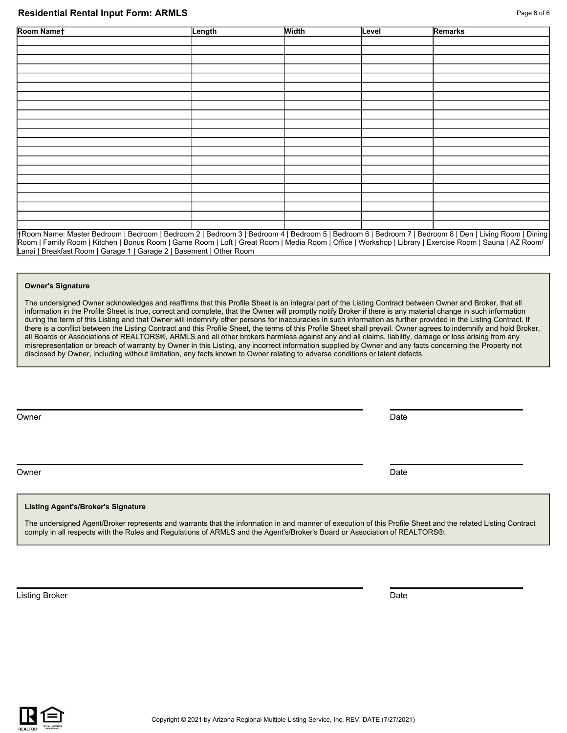### **Residential Rental Input Form: ARMLS Page 6 of 6 Page 6 of 6**

| Room Namet                                                                                                                                                                                                                                                                                                       | Length | <b>Width</b> | Level | Remarks |
|------------------------------------------------------------------------------------------------------------------------------------------------------------------------------------------------------------------------------------------------------------------------------------------------------------------|--------|--------------|-------|---------|
|                                                                                                                                                                                                                                                                                                                  |        |              |       |         |
|                                                                                                                                                                                                                                                                                                                  |        |              |       |         |
|                                                                                                                                                                                                                                                                                                                  |        |              |       |         |
|                                                                                                                                                                                                                                                                                                                  |        |              |       |         |
|                                                                                                                                                                                                                                                                                                                  |        |              |       |         |
|                                                                                                                                                                                                                                                                                                                  |        |              |       |         |
|                                                                                                                                                                                                                                                                                                                  |        |              |       |         |
|                                                                                                                                                                                                                                                                                                                  |        |              |       |         |
|                                                                                                                                                                                                                                                                                                                  |        |              |       |         |
|                                                                                                                                                                                                                                                                                                                  |        |              |       |         |
|                                                                                                                                                                                                                                                                                                                  |        |              |       |         |
|                                                                                                                                                                                                                                                                                                                  |        |              |       |         |
|                                                                                                                                                                                                                                                                                                                  |        |              |       |         |
|                                                                                                                                                                                                                                                                                                                  |        |              |       |         |
|                                                                                                                                                                                                                                                                                                                  |        |              |       |         |
|                                                                                                                                                                                                                                                                                                                  |        |              |       |         |
|                                                                                                                                                                                                                                                                                                                  |        |              |       |         |
|                                                                                                                                                                                                                                                                                                                  |        |              |       |         |
|                                                                                                                                                                                                                                                                                                                  |        |              |       |         |
|                                                                                                                                                                                                                                                                                                                  |        |              |       |         |
|                                                                                                                                                                                                                                                                                                                  |        |              |       |         |
| †Room Name: Master Bedroom   Bedroom   Bedroom 2   Bedroom 3   Bedroom 4   Bedroom 5   Bedroom 6   Bedroom 7   Bedroom 8   Den   Living Room   Dining<br>Room   Eamily Room   Kitchen   Ronus Room   Came Room   Loft   Croat Room   Modia Room   Office   Workshop   Library   Exercise Room   Sauna   AZ Room/ |        |              |       |         |

m | Kitchen | Bonus Room | Game Room | Loft | Great Room | Media Room | Office | Workshop | Library | Exercise Room | Sa Lanai | Breakfast Room | Garage 1 | Garage 2 | Basement | Other Room

#### **Owner's Signature**

The undersigned Owner acknowledges and reaffirms that this Profile Sheet is an integral part of the Listing Contract between Owner and Broker, that all information in the Profile Sheet is true, correct and complete, that the Owner will promptly notify Broker if there is any material change in such information during the term of this Listing and that Owner will indemnify other persons for inaccuracies in such information as further provided in the Listing Contract. If there is a conflict between the Listing Contract and this Profile Sheet, the terms of this Profile Sheet shall prevail. Owner agrees to indemnify and hold Broker, all Boards or Associations of REALTORS®, ARMLS and all other brokers harmless against any and all claims, liability, damage or loss arising from any misrepresentation or breach of warranty by Owner in this Listing, any incorrect information supplied by Owner and any facts concerning the Property not disclosed by Owner, including without limitation, any facts known to Owner relating to adverse conditions or latent defects.

Owner **Date** 

Owner **Date** 

## **Listing Agent's/Broker's Signature**

The undersigned Agent/Broker represents and warrants that the information in and manner of execution of this Profile Sheet and the related Listing Contract comply in all respects with the Rules and Regulations of ARMLS and the Agent's/Broker's Board or Association of REALTORS®.

**Listing Broker** Date **Date 2018 Date 2018 Date 2018 Date 2018 Date 2018 Date**